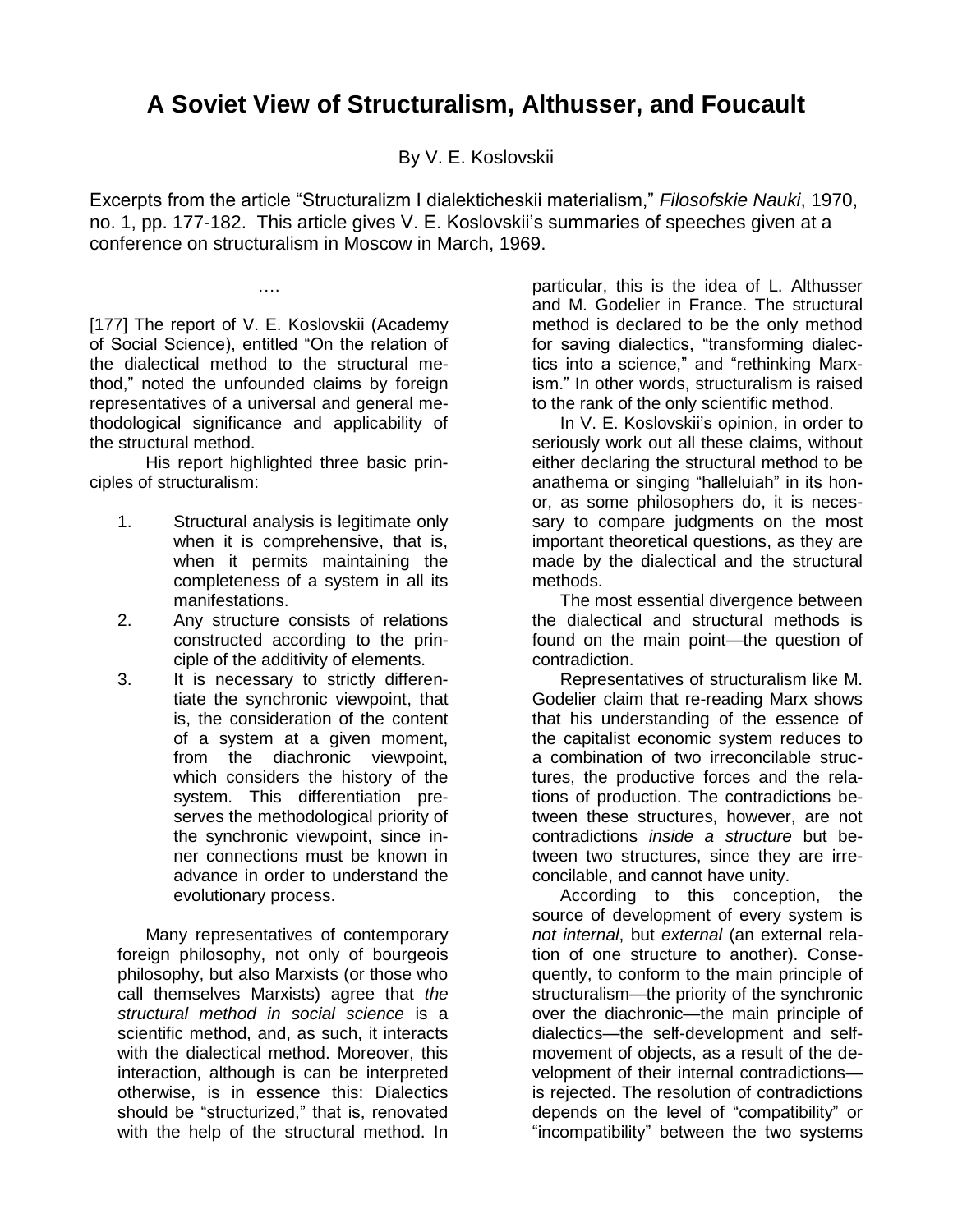## **A Soviet View of Structuralism, Althusser, and Foucault**

By V. E. Koslovskii

Excerpts from the article "Structuralizm I dialekticheskii materialism," *Filosofskie Nauki*, 1970, no. 1, pp. 177-182. This article gives V. E. Koslovskii"s summaries of speeches given at a conference on structuralism in Moscow in March, 1969.

[177] The report of V. E. Koslovskii (Academy of Social Science), entitled "On the relation of the dialectical method to the structural method," noted the unfounded claims by foreign representatives of a universal and general methodological significance and applicability of the structural method.

….

His report highlighted three basic principles of structuralism:

- 1. Structural analysis is legitimate only when it is comprehensive, that is, when it permits maintaining the completeness of a system in all its manifestations.
- 2. Any structure consists of relations constructed according to the principle of the additivity of elements.
- 3. It is necessary to strictly differentiate the synchronic viewpoint, that is, the consideration of the content of a system at a given moment, from the diachronic viewpoint, which considers the history of the system. This differentiation preserves the methodological priority of the synchronic viewpoint, since inner connections must be known in advance in order to understand the evolutionary process.

Many representatives of contemporary foreign philosophy, not only of bourgeois philosophy, but also Marxists (or those who call themselves Marxists) agree that *the structural method in social science* is a scientific method, and, as such, it interacts with the dialectical method. Moreover, this interaction, although is can be interpreted otherwise, is in essence this: Dialectics should be "structurized," that is, renovated with the help of the structural method. In

particular, this is the idea of L. Althusser and M. Godelier in France. The structural method is declared to be the only method for saving dialectics, "transforming dialectics into a science," and "rethinking Marxism." In other words, structuralism is raised to the rank of the only scientific method.

In V. E. Koslovskii"s opinion, in order to seriously work out all these claims, without either declaring the structural method to be anathema or singing "halleluiah" in its honor, as some philosophers do, it is necessary to compare judgments on the most important theoretical questions, as they are made by the dialectical and the structural methods.

The most essential divergence between the dialectical and structural methods is found on the main point—the question of contradiction.

Representatives of structuralism like M. Godelier claim that re-reading Marx shows that his understanding of the essence of the capitalist economic system reduces to a combination of two irreconcilable structures, the productive forces and the relations of production. The contradictions between these structures, however, are not contradictions *inside a structure* but between two structures, since they are irreconcilable, and cannot have unity.

According to this conception, the source of development of every system is *not internal*, but *external* (an external relation of one structure to another). Consequently, to conform to the main principle of structuralism—the priority of the synchronic over the diachronic—the main principle of dialectics—the self-development and selfmovement of objects, as a result of the development of their internal contradictions is rejected. The resolution of contradictions depends on the level of "compatibility" or "incompatibility" between the two systems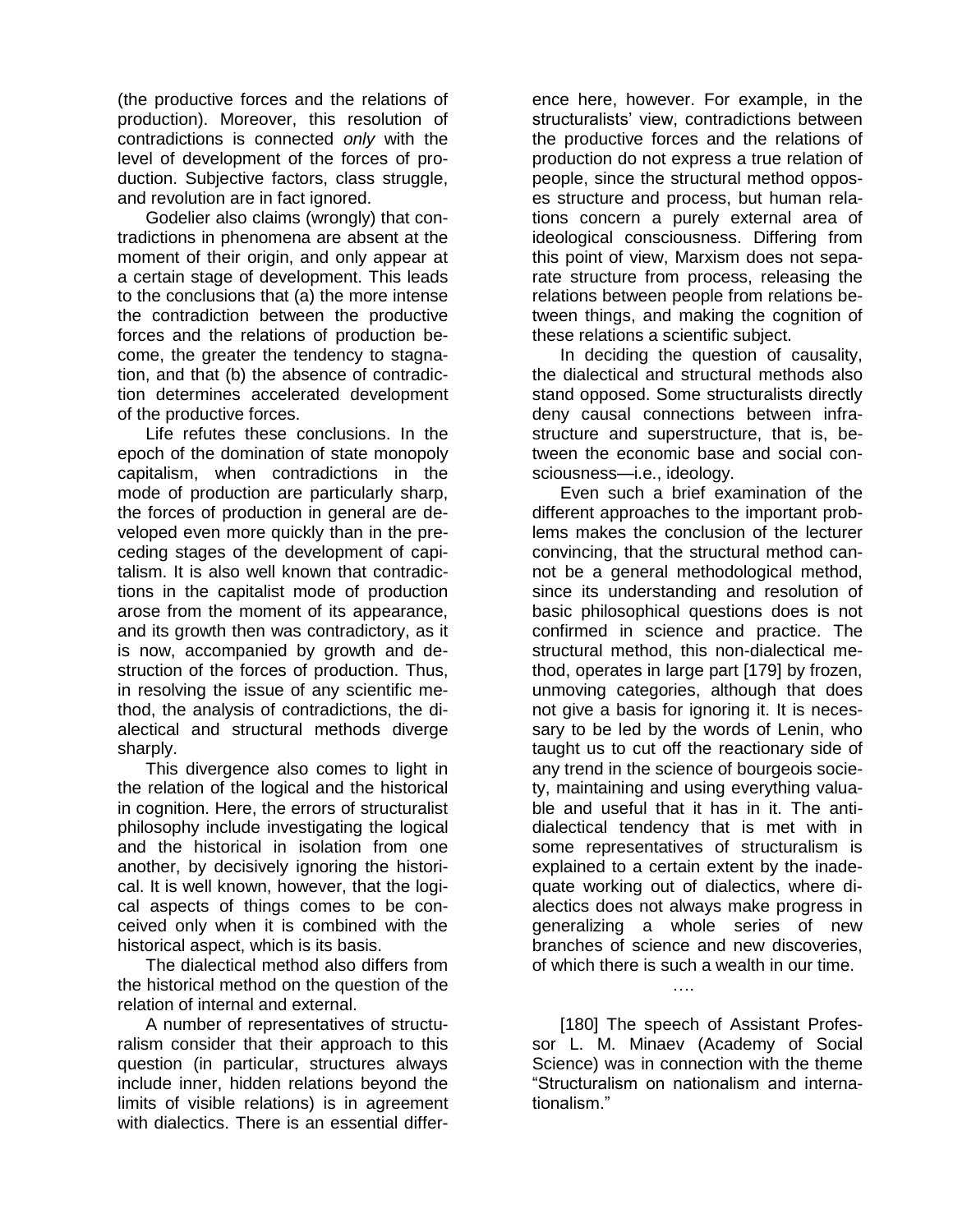(the productive forces and the relations of production). Moreover, this resolution of contradictions is connected *only* with the level of development of the forces of production. Subjective factors, class struggle, and revolution are in fact ignored.

Godelier also claims (wrongly) that contradictions in phenomena are absent at the moment of their origin, and only appear at a certain stage of development. This leads to the conclusions that (a) the more intense the contradiction between the productive forces and the relations of production become, the greater the tendency to stagnation, and that (b) the absence of contradiction determines accelerated development of the productive forces.

Life refutes these conclusions. In the epoch of the domination of state monopoly capitalism, when contradictions in the mode of production are particularly sharp, the forces of production in general are developed even more quickly than in the preceding stages of the development of capitalism. It is also well known that contradictions in the capitalist mode of production arose from the moment of its appearance, and its growth then was contradictory, as it is now, accompanied by growth and destruction of the forces of production. Thus, in resolving the issue of any scientific method, the analysis of contradictions, the dialectical and structural methods diverge sharply.

This divergence also comes to light in the relation of the logical and the historical in cognition. Here, the errors of structuralist philosophy include investigating the logical and the historical in isolation from one another, by decisively ignoring the historical. It is well known, however, that the logical aspects of things comes to be conceived only when it is combined with the historical aspect, which is its basis.

The dialectical method also differs from the historical method on the question of the relation of internal and external.

A number of representatives of structuralism consider that their approach to this question (in particular, structures always include inner, hidden relations beyond the limits of visible relations) is in agreement with dialectics. There is an essential differ-

ence here, however. For example, in the structuralists' view, contradictions between the productive forces and the relations of production do not express a true relation of people, since the structural method opposes structure and process, but human relations concern a purely external area of ideological consciousness. Differing from this point of view, Marxism does not separate structure from process, releasing the relations between people from relations between things, and making the cognition of these relations a scientific subject.

In deciding the question of causality, the dialectical and structural methods also stand opposed. Some structuralists directly deny causal connections between infrastructure and superstructure, that is, between the economic base and social consciousness—i.e., ideology.

Even such a brief examination of the different approaches to the important problems makes the conclusion of the lecturer convincing, that the structural method cannot be a general methodological method, since its understanding and resolution of basic philosophical questions does is not confirmed in science and practice. The structural method, this non-dialectical method, operates in large part [179] by frozen, unmoving categories, although that does not give a basis for ignoring it. It is necessary to be led by the words of Lenin, who taught us to cut off the reactionary side of any trend in the science of bourgeois society, maintaining and using everything valuable and useful that it has in it. The antidialectical tendency that is met with in some representatives of structuralism is explained to a certain extent by the inadequate working out of dialectics, where dialectics does not always make progress in generalizing a whole series of new branches of science and new discoveries, of which there is such a wealth in our time.

[180] The speech of Assistant Professor L. M. Minaev (Academy of Social Science) was in connection with the theme "Structuralism on nationalism and internationalism."

….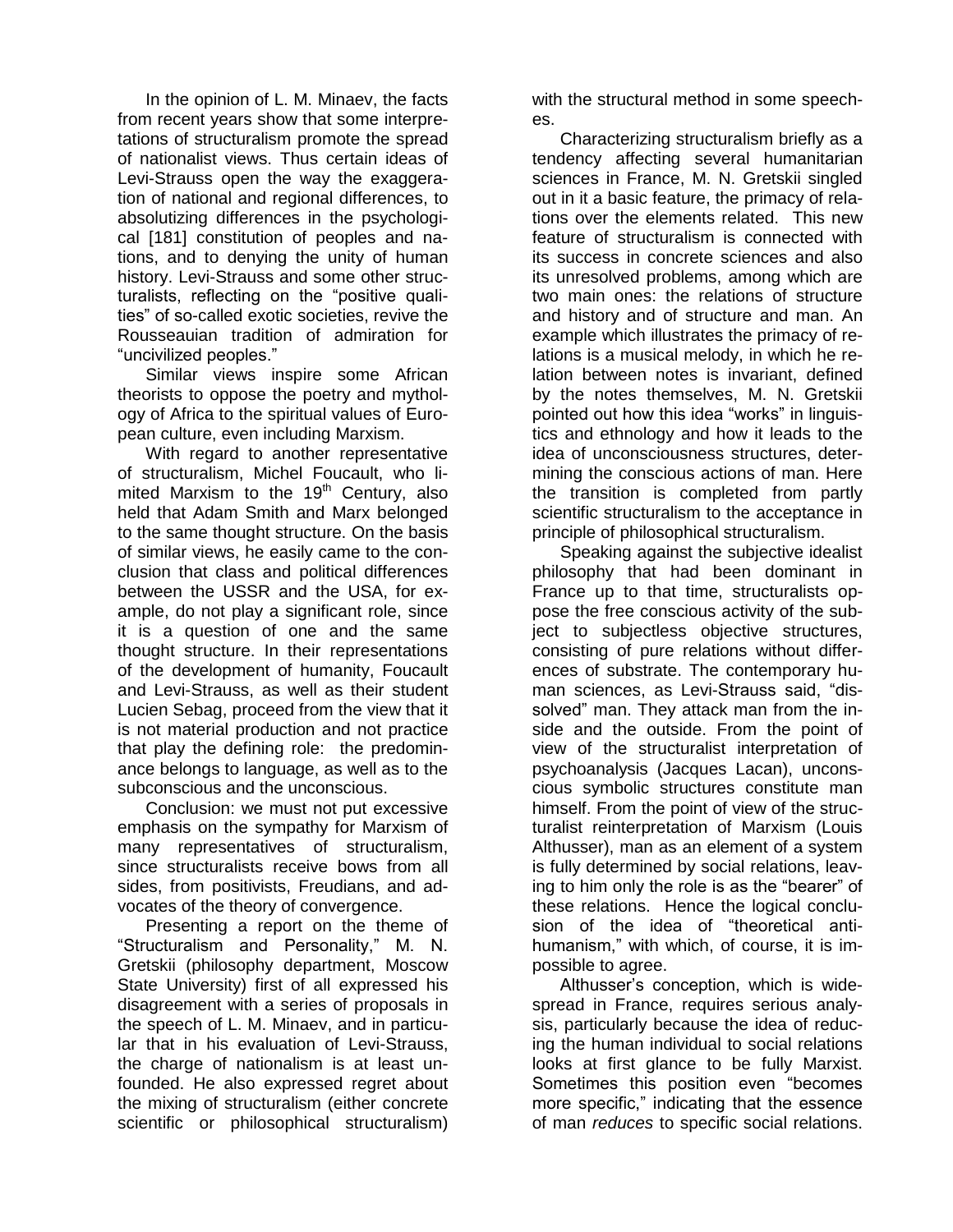In the opinion of L. M. Minaev, the facts from recent years show that some interpretations of structuralism promote the spread of nationalist views. Thus certain ideas of Levi-Strauss open the way the exaggeration of national and regional differences, to absolutizing differences in the psychological [181] constitution of peoples and nations, and to denying the unity of human history. Levi-Strauss and some other structuralists, reflecting on the "positive qualities" of so-called exotic societies, revive the Rousseauian tradition of admiration for "uncivilized peoples."

Similar views inspire some African theorists to oppose the poetry and mythology of Africa to the spiritual values of European culture, even including Marxism.

With regard to another representative of structuralism, Michel Foucault, who limited Marxism to the  $19<sup>th</sup>$  Century, also held that Adam Smith and Marx belonged to the same thought structure. On the basis of similar views, he easily came to the conclusion that class and political differences between the USSR and the USA, for example, do not play a significant role, since it is a question of one and the same thought structure. In their representations of the development of humanity, Foucault and Levi-Strauss, as well as their student Lucien Sebag, proceed from the view that it is not material production and not practice that play the defining role: the predominance belongs to language, as well as to the subconscious and the unconscious.

Conclusion: we must not put excessive emphasis on the sympathy for Marxism of many representatives of structuralism, since structuralists receive bows from all sides, from positivists, Freudians, and advocates of the theory of convergence.

Presenting a report on the theme of "Structuralism and Personality," M. N. Gretskii (philosophy department, Moscow State University) first of all expressed his disagreement with a series of proposals in the speech of L. M. Minaev, and in particular that in his evaluation of Levi-Strauss, the charge of nationalism is at least unfounded. He also expressed regret about the mixing of structuralism (either concrete scientific or philosophical structuralism) with the structural method in some speeches.

Characterizing structuralism briefly as a tendency affecting several humanitarian sciences in France, M. N. Gretskii singled out in it a basic feature, the primacy of relations over the elements related. This new feature of structuralism is connected with its success in concrete sciences and also its unresolved problems, among which are two main ones: the relations of structure and history and of structure and man. An example which illustrates the primacy of relations is a musical melody, in which he relation between notes is invariant, defined by the notes themselves, M. N. Gretskii pointed out how this idea "works" in linguistics and ethnology and how it leads to the idea of unconsciousness structures, determining the conscious actions of man. Here the transition is completed from partly scientific structuralism to the acceptance in principle of philosophical structuralism.

Speaking against the subjective idealist philosophy that had been dominant in France up to that time, structuralists oppose the free conscious activity of the subject to subjectless objective structures, consisting of pure relations without differences of substrate. The contemporary human sciences, as Levi-Strauss said, "dissolved" man. They attack man from the inside and the outside. From the point of view of the structuralist interpretation of psychoanalysis (Jacques Lacan), unconscious symbolic structures constitute man himself. From the point of view of the structuralist reinterpretation of Marxism (Louis Althusser), man as an element of a system is fully determined by social relations, leaving to him only the role is as the "bearer" of these relations. Hence the logical conclusion of the idea of "theoretical antihumanism," with which, of course, it is impossible to agree.

Althusser"s conception, which is widespread in France, requires serious analysis, particularly because the idea of reducing the human individual to social relations looks at first glance to be fully Marxist. Sometimes this position even "becomes more specific," indicating that the essence of man *reduces* to specific social relations.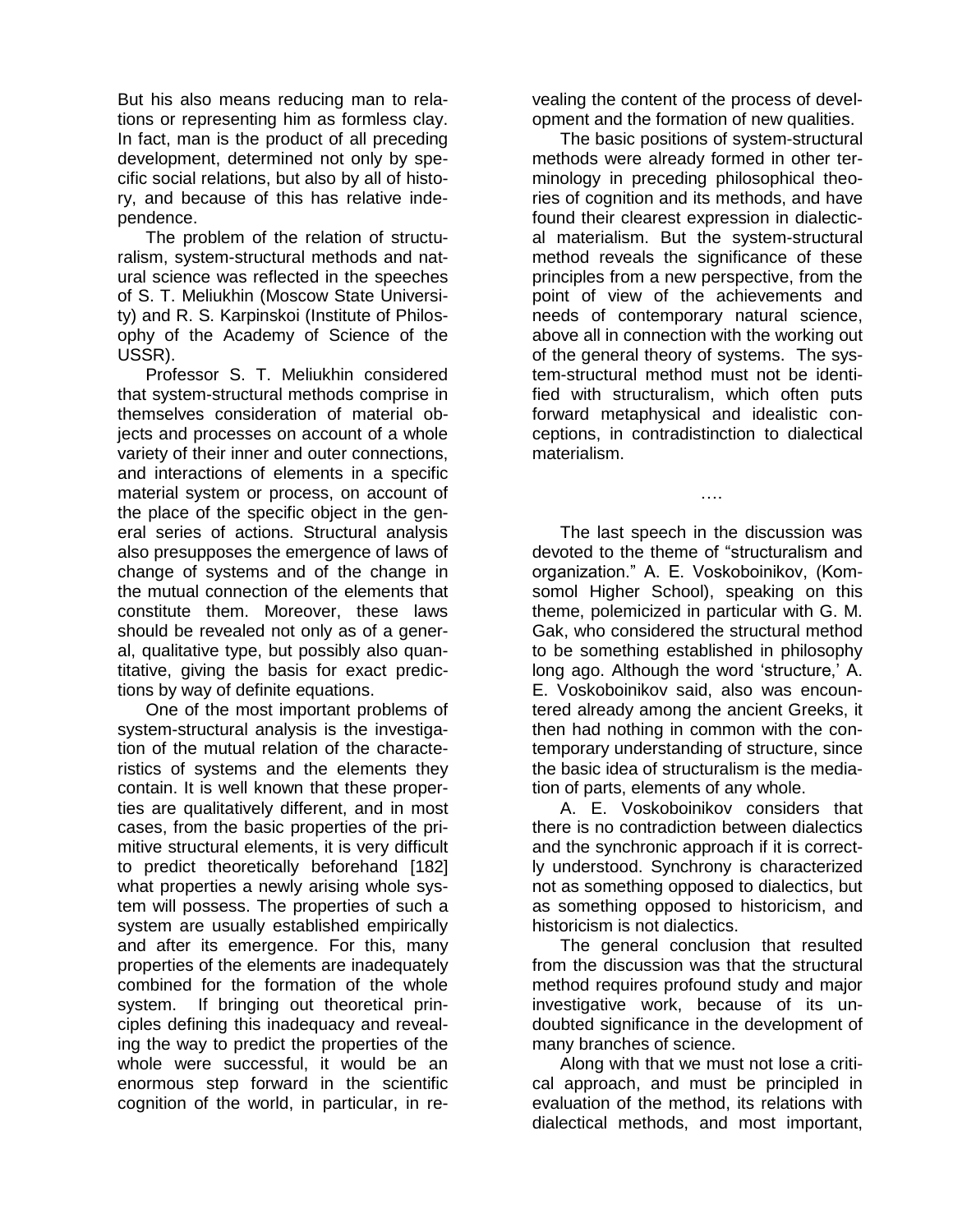But his also means reducing man to relations or representing him as formless clay. In fact, man is the product of all preceding development, determined not only by specific social relations, but also by all of history, and because of this has relative independence.

The problem of the relation of structuralism, system-structural methods and natural science was reflected in the speeches of S. T. Meliukhin (Moscow State University) and R. S. Karpinskoi (Institute of Philosophy of the Academy of Science of the USSR).

Professor S. T. Meliukhin considered that system-structural methods comprise in themselves consideration of material objects and processes on account of a whole variety of their inner and outer connections, and interactions of elements in a specific material system or process, on account of the place of the specific object in the general series of actions. Structural analysis also presupposes the emergence of laws of change of systems and of the change in the mutual connection of the elements that constitute them. Moreover, these laws should be revealed not only as of a general, qualitative type, but possibly also quantitative, giving the basis for exact predictions by way of definite equations.

One of the most important problems of system-structural analysis is the investigation of the mutual relation of the characteristics of systems and the elements they contain. It is well known that these properties are qualitatively different, and in most cases, from the basic properties of the primitive structural elements, it is very difficult to predict theoretically beforehand [182] what properties a newly arising whole system will possess. The properties of such a system are usually established empirically and after its emergence. For this, many properties of the elements are inadequately combined for the formation of the whole system. If bringing out theoretical principles defining this inadequacy and revealing the way to predict the properties of the whole were successful, it would be an enormous step forward in the scientific cognition of the world, in particular, in revealing the content of the process of development and the formation of new qualities.

The basic positions of system-structural methods were already formed in other terminology in preceding philosophical theories of cognition and its methods, and have found their clearest expression in dialectical materialism. But the system-structural method reveals the significance of these principles from a new perspective, from the point of view of the achievements and needs of contemporary natural science, above all in connection with the working out of the general theory of systems. The system-structural method must not be identified with structuralism, which often puts forward metaphysical and idealistic conceptions, in contradistinction to dialectical materialism.

The last speech in the discussion was devoted to the theme of "structuralism and organization." A. E. Voskoboinikov, (Komsomol Higher School), speaking on this theme, polemicized in particular with G. M. Gak, who considered the structural method to be something established in philosophy long ago. Although the word 'structure,' A. E. Voskoboinikov said, also was encountered already among the ancient Greeks, it then had nothing in common with the contemporary understanding of structure, since the basic idea of structuralism is the mediation of parts, elements of any whole.

….

A. E. Voskoboinikov considers that there is no contradiction between dialectics and the synchronic approach if it is correctly understood. Synchrony is characterized not as something opposed to dialectics, but as something opposed to historicism, and historicism is not dialectics.

The general conclusion that resulted from the discussion was that the structural method requires profound study and major investigative work, because of its undoubted significance in the development of many branches of science.

Along with that we must not lose a critical approach, and must be principled in evaluation of the method, its relations with dialectical methods, and most important,